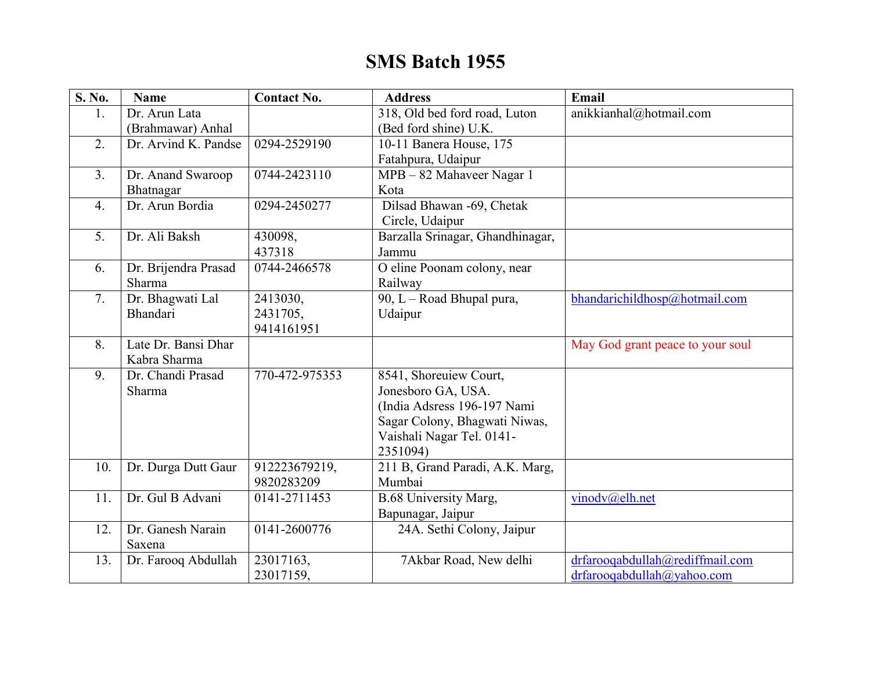## **SMS Batch 1955**

| <b>S. No.</b>    | <b>Name</b>          | <b>Contact No.</b> | <b>Address</b>                   | Email                            |
|------------------|----------------------|--------------------|----------------------------------|----------------------------------|
| 1.               | Dr. Arun Lata        |                    | 318, Old bed ford road, Luton    | anikkianhal@hotmail.com          |
|                  | (Brahmawar) Anhal    |                    | (Bed ford shine) U.K.            |                                  |
| 2.               | Dr. Arvind K. Pandse | 0294-2529190       | 10-11 Banera House, 175          |                                  |
|                  |                      |                    | Fatahpura, Udaipur               |                                  |
| 3 <sub>1</sub>   | Dr. Anand Swaroop    | 0744-2423110       | MPB - 82 Mahaveer Nagar 1        |                                  |
|                  | Bhatnagar            |                    | Kota                             |                                  |
| $\overline{4}$ . | Dr. Arun Bordia      | 0294-2450277       | Dilsad Bhawan -69, Chetak        |                                  |
|                  |                      |                    | Circle, Udaipur                  |                                  |
| 5.               | Dr. Ali Baksh        | 430098,            | Barzalla Srinagar, Ghandhinagar, |                                  |
|                  |                      | 437318             | Jammu                            |                                  |
| 6.               | Dr. Brijendra Prasad | 0744-2466578       | O eline Poonam colony, near      |                                  |
|                  | Sharma               |                    | Railway                          |                                  |
| 7.               | Dr. Bhagwati Lal     | 2413030,           | 90, L - Road Bhupal pura,        | bhandarichildhosp@hotmail.com    |
|                  | Bhandari             | 2431705,           | Udaipur                          |                                  |
|                  |                      | 9414161951         |                                  |                                  |
| 8.               | Late Dr. Bansi Dhar  |                    |                                  | May God grant peace to your soul |
|                  | Kabra Sharma         |                    |                                  |                                  |
| 9.               | Dr. Chandi Prasad    | 770-472-975353     | 8541, Shoreuiew Court,           |                                  |
|                  | Sharma               |                    | Jonesboro GA, USA.               |                                  |
|                  |                      |                    | (India Adsress 196-197 Nami      |                                  |
|                  |                      |                    | Sagar Colony, Bhagwati Niwas,    |                                  |
|                  |                      |                    | Vaishali Nagar Tel. 0141-        |                                  |
|                  |                      |                    | 2351094)                         |                                  |
| 10.              | Dr. Durga Dutt Gaur  | 912223679219,      | 211 B, Grand Paradi, A.K. Marg,  |                                  |
|                  |                      | 9820283209         | Mumbai                           |                                  |
| 11.              | Dr. Gul B Advani     | 0141-2711453       | <b>B.68 University Marg,</b>     | vinodv@elh.net                   |
|                  |                      |                    | Bapunagar, Jaipur                |                                  |
| 12.              | Dr. Ganesh Narain    | 0141-2600776       | 24A. Sethi Colony, Jaipur        |                                  |
|                  | Saxena               |                    |                                  |                                  |
| 13.              | Dr. Farooq Abdullah  | 23017163,          | 7Akbar Road, New delhi           | drfarooqabdullah@rediffmail.com  |
|                  |                      | 23017159,          |                                  | drfarooqabdullah@yahoo.com       |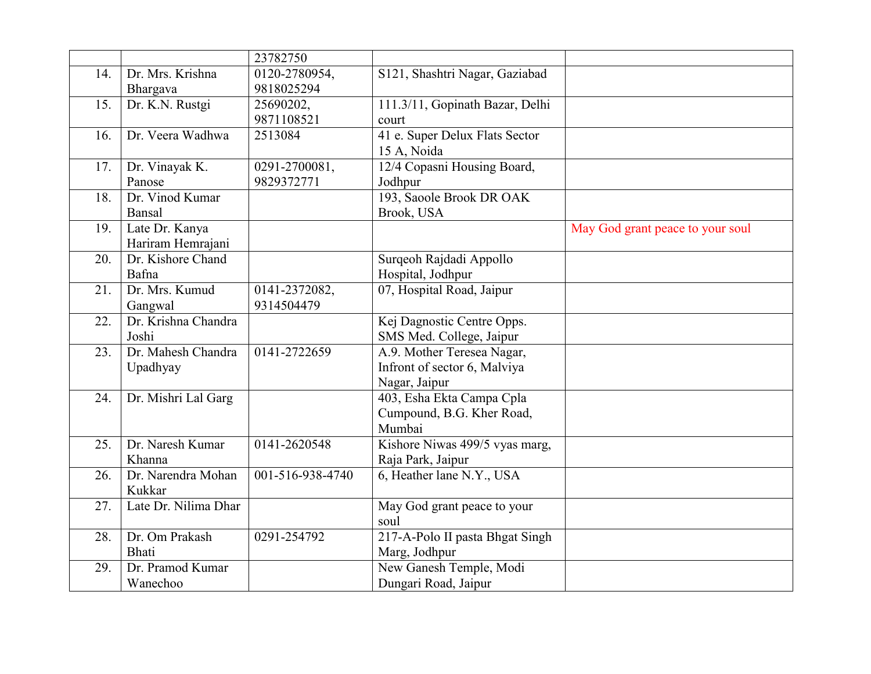|     |                      | 23782750         |                                                |                                  |
|-----|----------------------|------------------|------------------------------------------------|----------------------------------|
| 14. | Dr. Mrs. Krishna     | 0120-2780954,    | S121, Shashtri Nagar, Gaziabad                 |                                  |
|     | Bhargava             | 9818025294       |                                                |                                  |
| 15. | Dr. K.N. Rustgi      | 25690202,        | 111.3/11, Gopinath Bazar, Delhi                |                                  |
|     |                      | 9871108521       | court                                          |                                  |
| 16. | Dr. Veera Wadhwa     | 2513084          | 41 e. Super Delux Flats Sector                 |                                  |
|     |                      |                  | 15 A, Noida                                    |                                  |
| 17. | Dr. Vinayak K.       | 0291-2700081,    | 12/4 Copasni Housing Board,                    |                                  |
|     | Panose               | 9829372771       | Jodhpur                                        |                                  |
| 18. | Dr. Vinod Kumar      |                  | 193, Saoole Brook DR OAK                       |                                  |
|     | Bansal               |                  | Brook, USA                                     |                                  |
| 19. | Late Dr. Kanya       |                  |                                                | May God grant peace to your soul |
|     | Hariram Hemrajani    |                  |                                                |                                  |
| 20. | Dr. Kishore Chand    |                  | Surqeoh Rajdadi Appollo                        |                                  |
|     | Bafna                |                  | Hospital, Jodhpur                              |                                  |
| 21. | Dr. Mrs. Kumud       | 0141-2372082,    | 07, Hospital Road, Jaipur                      |                                  |
|     | Gangwal              | 9314504479       |                                                |                                  |
| 22. | Dr. Krishna Chandra  |                  | Kej Dagnostic Centre Opps.                     |                                  |
|     | Joshi                |                  | SMS Med. College, Jaipur                       |                                  |
| 23. | Dr. Mahesh Chandra   | 0141-2722659     | A.9. Mother Teresea Nagar,                     |                                  |
|     | Upadhyay             |                  | Infront of sector 6, Malviya                   |                                  |
|     |                      |                  | Nagar, Jaipur                                  |                                  |
| 24. | Dr. Mishri Lal Garg  |                  | 403, Esha Ekta Campa Cpla                      |                                  |
|     |                      |                  | Cumpound, B.G. Kher Road,                      |                                  |
|     | Dr. Naresh Kumar     |                  | Mumbai                                         |                                  |
| 25. | Khanna               | 0141-2620548     | Kishore Niwas 499/5 vyas marg,                 |                                  |
| 26. | Dr. Narendra Mohan   | 001-516-938-4740 | Raja Park, Jaipur<br>6, Heather lane N.Y., USA |                                  |
|     | Kukkar               |                  |                                                |                                  |
| 27. | Late Dr. Nilima Dhar |                  | May God grant peace to your                    |                                  |
|     |                      |                  | soul                                           |                                  |
| 28. | Dr. Om Prakash       | 0291-254792      | 217-A-Polo II pasta Bhgat Singh                |                                  |
|     | Bhati                |                  | Marg, Jodhpur                                  |                                  |
| 29. | Dr. Pramod Kumar     |                  | New Ganesh Temple, Modi                        |                                  |
|     | Wanechoo             |                  | Dungari Road, Jaipur                           |                                  |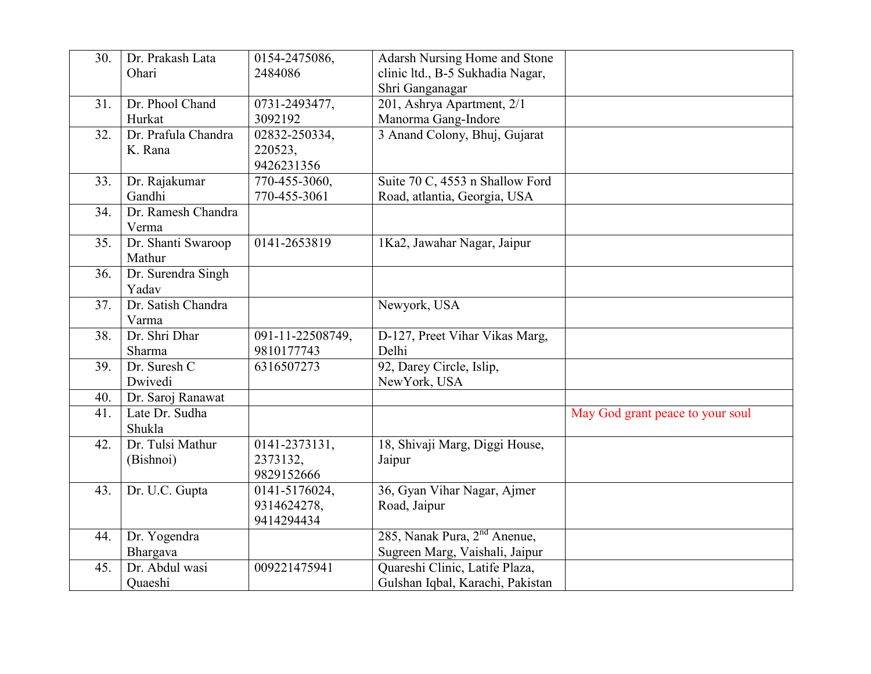| 30. | Dr. Prakash Lata<br>Ohari      | 0154-2475086,<br>2484086                   | Adarsh Nursing Home and Stone<br>clinic ltd., B-5 Sukhadia Nagar,<br>Shri Ganganagar |                                  |
|-----|--------------------------------|--------------------------------------------|--------------------------------------------------------------------------------------|----------------------------------|
| 31. | Dr. Phool Chand<br>Hurkat      | 0731-2493477,<br>3092192                   | 201, Ashrya Apartment, 2/1<br>Manorma Gang-Indore                                    |                                  |
| 32. | Dr. Prafula Chandra<br>K. Rana | 02832-250334,<br>220523,<br>9426231356     | 3 Anand Colony, Bhuj, Gujarat                                                        |                                  |
| 33. | Dr. Rajakumar<br>Gandhi        | 770-455-3060,<br>770-455-3061              | Suite 70 C, 4553 n Shallow Ford<br>Road, atlantia, Georgia, USA                      |                                  |
| 34. | Dr. Ramesh Chandra<br>Verma    |                                            |                                                                                      |                                  |
| 35. | Dr. Shanti Swaroop<br>Mathur   | 0141-2653819                               | 1Ka2, Jawahar Nagar, Jaipur                                                          |                                  |
| 36. | Dr. Surendra Singh<br>Yadav    |                                            |                                                                                      |                                  |
| 37. | Dr. Satish Chandra<br>Varma    |                                            | Newyork, USA                                                                         |                                  |
| 38. | Dr. Shri Dhar<br>Sharma        | 091-11-22508749,<br>9810177743             | D-127, Preet Vihar Vikas Marg,<br>Delhi                                              |                                  |
| 39. | Dr. Suresh C<br>Dwivedi        | 6316507273                                 | 92, Darey Circle, Islip,<br>NewYork, USA                                             |                                  |
| 40. | Dr. Saroj Ranawat              |                                            |                                                                                      |                                  |
| 41. | Late Dr. Sudha<br>Shukla       |                                            |                                                                                      | May God grant peace to your soul |
| 42. | Dr. Tulsi Mathur<br>(Bishnoi)  | 0141-2373131,<br>2373132,<br>9829152666    | 18, Shivaji Marg, Diggi House,<br>Jaipur                                             |                                  |
| 43. | Dr. U.C. Gupta                 | 0141-5176024,<br>9314624278,<br>9414294434 | 36, Gyan Vihar Nagar, Ajmer<br>Road, Jaipur                                          |                                  |
| 44. | Dr. Yogendra<br>Bhargava       |                                            | 285, Nanak Pura, 2 <sup>nd</sup> Anenue,<br>Sugreen Marg, Vaishali, Jaipur           |                                  |
| 45. | Dr. Abdul wasi<br>Quaeshi      | 009221475941                               | Quareshi Clinic, Latife Plaza,<br>Gulshan Iqbal, Karachi, Pakistan                   |                                  |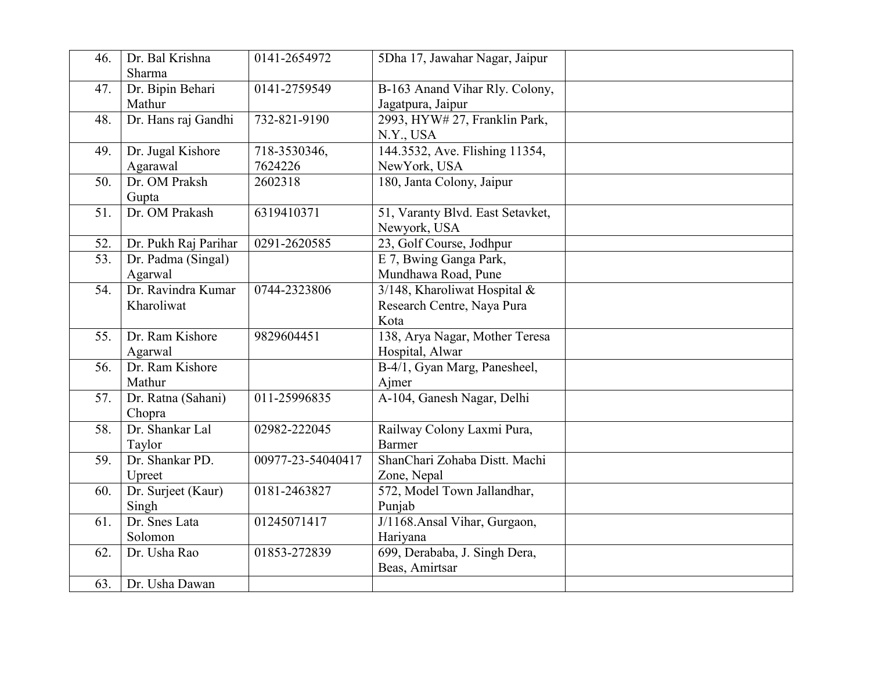| 46. | Dr. Bal Krishna<br>Sharma | 0141-2654972      | 5Dha 17, Jawahar Nagar, Jaipur   |  |
|-----|---------------------------|-------------------|----------------------------------|--|
|     | Dr. Bipin Behari          | 0141-2759549      |                                  |  |
| 47. |                           |                   | B-163 Anand Vihar Rly. Colony,   |  |
|     | Mathur                    |                   | Jagatpura, Jaipur                |  |
| 48. | Dr. Hans raj Gandhi       | 732-821-9190      | 2993, HYW# 27, Franklin Park,    |  |
|     |                           |                   | N.Y., USA                        |  |
| 49. | Dr. Jugal Kishore         | 718-3530346,      | 144.3532, Ave. Flishing 11354,   |  |
|     | Agarawal                  | 7624226           | NewYork, USA                     |  |
| 50. | Dr. OM Praksh             | 2602318           | 180, Janta Colony, Jaipur        |  |
|     | Gupta                     |                   |                                  |  |
| 51. | Dr. OM Prakash            | 6319410371        | 51, Varanty Blvd. East Setavket, |  |
|     |                           |                   | Newyork, USA                     |  |
| 52. | Dr. Pukh Raj Parihar      | 0291-2620585      | 23, Golf Course, Jodhpur         |  |
| 53. | Dr. Padma (Singal)        |                   | E 7, Bwing Ganga Park,           |  |
|     | Agarwal                   |                   | Mundhawa Road, Pune              |  |
| 54. | Dr. Ravindra Kumar        | 0744-2323806      | 3/148, Kharoliwat Hospital $\&$  |  |
|     | Kharoliwat                |                   | Research Centre, Naya Pura       |  |
|     |                           |                   | Kota                             |  |
| 55. | Dr. Ram Kishore           | 9829604451        | 138, Arya Nagar, Mother Teresa   |  |
|     | Agarwal                   |                   | Hospital, Alwar                  |  |
| 56. | Dr. Ram Kishore           |                   | B-4/1, Gyan Marg, Panesheel,     |  |
|     | Mathur                    |                   | Ajmer                            |  |
| 57. | Dr. Ratna (Sahani)        | 011-25996835      | A-104, Ganesh Nagar, Delhi       |  |
|     | Chopra                    |                   |                                  |  |
| 58. | Dr. Shankar Lal           | 02982-222045      | Railway Colony Laxmi Pura,       |  |
|     |                           |                   | <b>Barmer</b>                    |  |
|     | Taylor<br>Dr. Shankar PD. |                   |                                  |  |
| 59. |                           | 00977-23-54040417 | ShanChari Zohaba Distt. Machi    |  |
|     | Upreet                    |                   | Zone, Nepal                      |  |
| 60. | Dr. Surjeet (Kaur)        | 0181-2463827      | 572, Model Town Jallandhar,      |  |
|     | Singh                     |                   | Punjab                           |  |
| 61. | Dr. Snes Lata             | 01245071417       | J/1168.Ansal Vihar, Gurgaon,     |  |
|     | Solomon                   |                   | Hariyana                         |  |
| 62. | Dr. Usha Rao              | 01853-272839      | 699, Derababa, J. Singh Dera,    |  |
|     |                           |                   | Beas, Amirtsar                   |  |
| 63. | Dr. Usha Dawan            |                   |                                  |  |